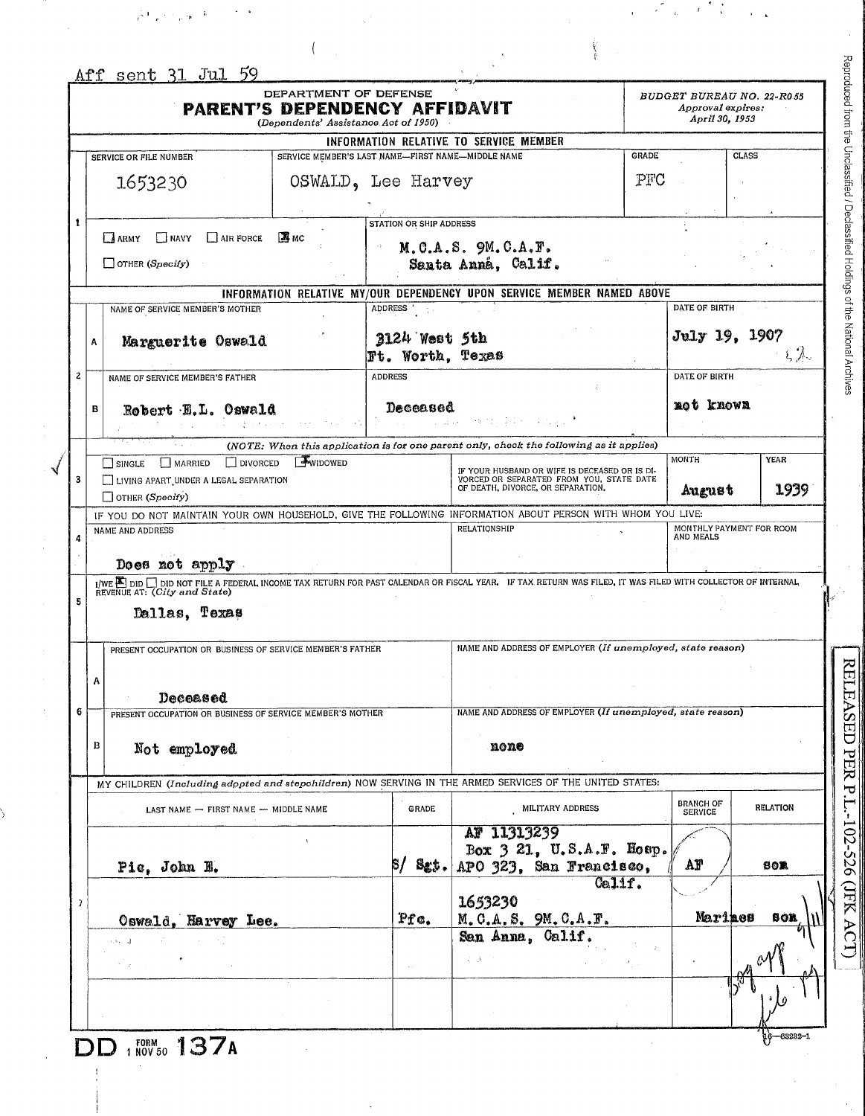|   | <b>PARENT'S DEPENDENCY AFFIDAVIT</b>                                                                                                                                                                                                                                | DEPARTMENT OF DEFENSE<br>(Dependents' Assistance Act of 1950) |                                                   |                                                                                                                                |              | Approval expires:<br>April 30, 1953 | BUDGET BUREAU NO. 22-R055 |
|---|---------------------------------------------------------------------------------------------------------------------------------------------------------------------------------------------------------------------------------------------------------------------|---------------------------------------------------------------|---------------------------------------------------|--------------------------------------------------------------------------------------------------------------------------------|--------------|-------------------------------------|---------------------------|
|   |                                                                                                                                                                                                                                                                     |                                                               |                                                   | INFORMATION RELATIVE TO SERVICE MEMBER                                                                                         |              |                                     |                           |
|   | SERVICE OR FILE NUMBER                                                                                                                                                                                                                                              |                                                               | SERVICE MEMBER'S LAST NAME-FIRST NAME-MIDDLE NAME |                                                                                                                                | <b>GRADE</b> |                                     | <b>CLASS</b>              |
|   | 1653230                                                                                                                                                                                                                                                             |                                                               | OSWALD, Lee Harvey                                |                                                                                                                                | PFC          |                                     |                           |
|   | NAVY<br>$\Box$ AIR FORCE<br>LA ARMY<br>$\Box$ OTHER (Specify)                                                                                                                                                                                                       | <b>MMC</b>                                                    | <b>STATION OR SHIP ADDRESS</b>                    | $M. C.A.S.$ $9M. C.A.F.$<br>Santa Anná, Calif.                                                                                 |              |                                     |                           |
|   |                                                                                                                                                                                                                                                                     |                                                               |                                                   | INFORMATION RELATIVE MY/OUR DEPENDENCY UPON SERVICE MEMBER NAMED ABOVE                                                         |              |                                     |                           |
| A | NAME OF SERVICE MEMBER'S MOTHER<br>Marguerite Oswald                                                                                                                                                                                                                |                                                               | ADDRESS '<br>3124 West 5th<br>Ft. Worth, Texas    |                                                                                                                                |              | DATE OF BIRTH<br>July 19, 1907      | $\zeta \not \gg$          |
|   | NAME OF SERVICE MEMBER'S FATHER                                                                                                                                                                                                                                     |                                                               | <b>ADDRESS</b>                                    |                                                                                                                                |              | DATE OF BIRTH                       |                           |
| B | Robert H.L. Oswald                                                                                                                                                                                                                                                  |                                                               | Deceased                                          | 网络地方真实的 医出血症                                                                                                                   |              | mot known                           |                           |
|   |                                                                                                                                                                                                                                                                     |                                                               |                                                   | (NOTE: When this application is for one parent only, check the following as it applies)                                        |              |                                     |                           |
|   | $\Box$ DIVORCED<br>MARRIED<br>SINGLE<br>LIVING APART UNDER A LEGAL SEPARATION<br>$\Box$ OTHER (Specify)                                                                                                                                                             | <b>WIDOWED</b>                                                |                                                   | IF YOUR HUSBAND OR WIFE IS DECEASED OR IS DI-<br>VORCED OR SEPARATED FROM YOU, STATE DATE<br>OF DEATH, DIVORCE, OR SEPARATION. |              | MONTH<br>August                     | YEAR<br>1939              |
|   |                                                                                                                                                                                                                                                                     |                                                               |                                                   |                                                                                                                                |              |                                     |                           |
|   |                                                                                                                                                                                                                                                                     |                                                               |                                                   | IF YOU DO NOT MAINTAIN YOUR OWN HOUSEHOLD, GIVE THE FOLLOWING INFORMATION ABOUT PERSON WITH WHOM YOU LIVE:                     |              |                                     |                           |
|   | NAME AND ADDRESS<br>Does not apply                                                                                                                                                                                                                                  |                                                               |                                                   | RELATIONSHIP                                                                                                                   |              | AND MEALS                           | MONTHLY PAYMENT FOR ROOM  |
|   | I/WE ADDE DID NOT FILE A FEDERAL INCOME TAX RETURN FOR PAST CALENDAR OR FISCAL YEAR. IF TAX RETURN WAS FILED, IT WAS FILED WITH COLLECTOR OF INTERNAL<br>REVENUE AT: (City and State)<br>Dallas, Texas<br>PRESENT OCCUPATION OR BUSINESS OF SERVICE MEMBER'S FATHER |                                                               |                                                   | NAME AND ADDRESS OF EMPLOYER (If unemployed, state reason)                                                                     |              |                                     |                           |
| А | Deceased                                                                                                                                                                                                                                                            |                                                               |                                                   |                                                                                                                                |              |                                     |                           |
|   | PRESENT OCCUPATION OR BUSINESS OF SERVICE MEMBER'S MOTHER                                                                                                                                                                                                           |                                                               |                                                   | NAME AND ADDRESS OF EMPLOYER (If unemployed, state reason)                                                                     |              |                                     |                           |
| в | Not employed                                                                                                                                                                                                                                                        |                                                               |                                                   | none                                                                                                                           |              |                                     |                           |
|   | MY CHILDREN (Including adopted and stepchildren) NOW SERVING IN THE ARMED SERVICES OF THE UNITED STATES:                                                                                                                                                            |                                                               |                                                   |                                                                                                                                |              |                                     |                           |
|   | LAST NAME - FIRST NAME - MIDDLE NAME                                                                                                                                                                                                                                |                                                               | <b>GRADE</b>                                      | MILITARY ADDRESS                                                                                                               |              | <b>BRANCH OF</b><br><b>SERVICE</b>  | <b>RELATION</b>           |
|   | Pic, John H.                                                                                                                                                                                                                                                        |                                                               | Sgt.<br>87                                        | AF 11313239<br>Box 3 21, U.S.A.F. Hosp.<br>APO 323, San Francisco,                                                             |              | AF                                  | <b>BOR</b>                |
|   |                                                                                                                                                                                                                                                                     |                                                               |                                                   | 1653230                                                                                                                        | $Ce11f$ .    |                                     |                           |
|   | Oswald, Harvey Lee.                                                                                                                                                                                                                                                 |                                                               | Pfc.                                              | M.C.A.S. 9M.C.A.F.                                                                                                             |              | Marines                             | son                       |
|   | $3.34 - 11$                                                                                                                                                                                                                                                         |                                                               |                                                   | San Anna, Calif.<br>てきこう                                                                                                       |              |                                     |                           |

 $\hat{\mathbf{h}}$ 

 $\frac{1}{16}$  (  $\lambda$ 

合っ

Reproduced from the Unclassified / Declassified Holdings of the National Archives

 $\epsilon$  $\hat{\epsilon}_t$ 

 $\frac{1}{4}$  $\hat{E}$ 

 $\frac{1}{2}$ 

 $\overline{a}$ 

RELEASED PER P.L.-102-526 (JFK ACT)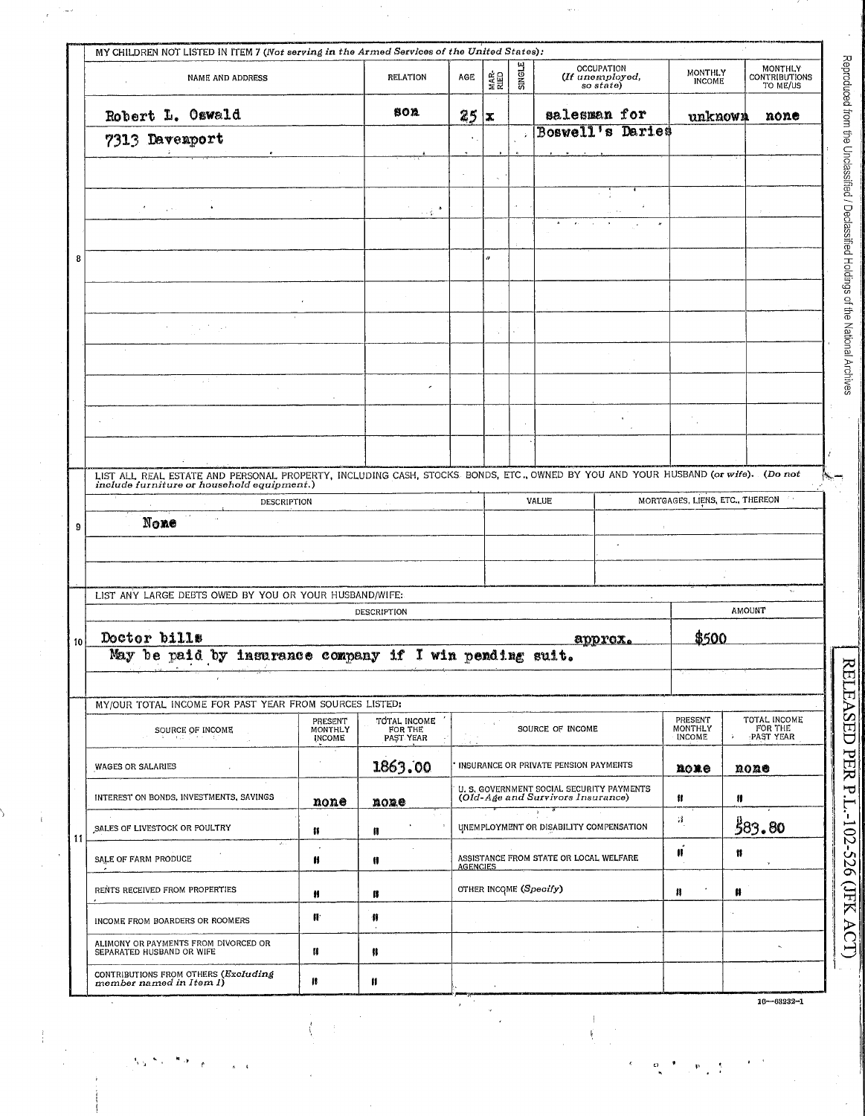| NAME AND ADDRESS                                                                                                                                                            |                                     | <b>RELATION</b>                      | AGE             | MAR.<br>RIED | SINGLE | <b>OCCUPATION</b><br>(If unemployed,<br>so state)                              | <b>MONTHLY</b><br><b>INCOME</b>            | MONTHLY<br><b>CONTRIBUTIONS</b><br>TO ME/US                |
|-----------------------------------------------------------------------------------------------------------------------------------------------------------------------------|-------------------------------------|--------------------------------------|-----------------|--------------|--------|--------------------------------------------------------------------------------|--------------------------------------------|------------------------------------------------------------|
| Robert L. Oswald                                                                                                                                                            |                                     | 80 A                                 | 25              | x            |        | salesman for                                                                   | unknown                                    | none                                                       |
| 7313 Davenport                                                                                                                                                              |                                     |                                      | $\leftarrow$    |              |        | <b>Boswell's Daries</b>                                                        |                                            |                                                            |
|                                                                                                                                                                             |                                     |                                      |                 |              |        |                                                                                |                                            |                                                            |
|                                                                                                                                                                             |                                     |                                      |                 |              |        |                                                                                |                                            |                                                            |
| $\mathcal{L}^{(1)}$ and                                                                                                                                                     |                                     | 分裂                                   |                 |              |        |                                                                                |                                            |                                                            |
|                                                                                                                                                                             |                                     |                                      |                 |              |        |                                                                                |                                            |                                                            |
|                                                                                                                                                                             |                                     |                                      |                 |              |        |                                                                                |                                            |                                                            |
|                                                                                                                                                                             |                                     |                                      |                 |              |        |                                                                                |                                            |                                                            |
|                                                                                                                                                                             |                                     |                                      |                 |              |        |                                                                                |                                            |                                                            |
|                                                                                                                                                                             |                                     |                                      |                 |              |        |                                                                                |                                            |                                                            |
| $\sim 5$                                                                                                                                                                    |                                     |                                      |                 |              |        |                                                                                |                                            |                                                            |
|                                                                                                                                                                             |                                     |                                      |                 |              |        |                                                                                |                                            |                                                            |
|                                                                                                                                                                             |                                     |                                      |                 |              |        |                                                                                |                                            |                                                            |
|                                                                                                                                                                             |                                     |                                      |                 |              |        |                                                                                |                                            |                                                            |
| LIST ALL REAL ESTATE AND PERSONAL PROPERTY, INCLUDING CASH, STOCKS BONDS, ETC., OWNED BY YOU AND YOUR HUSBAND (or wife). (Do not include furniture or household equipment.) |                                     |                                      |                 |              |        |                                                                                |                                            |                                                            |
| DESCRIPTION<br>None                                                                                                                                                         |                                     |                                      |                 |              |        | VALUE                                                                          |                                            | MORTGAGES, LIENS, ETC., THEREON                            |
|                                                                                                                                                                             |                                     |                                      |                 |              |        |                                                                                |                                            |                                                            |
|                                                                                                                                                                             |                                     |                                      |                 |              |        |                                                                                |                                            |                                                            |
|                                                                                                                                                                             |                                     |                                      |                 |              |        |                                                                                |                                            |                                                            |
| LIST ANY LARGE DEBTS OWED BY YOU OR YOUR HUSBAND/WIFE:                                                                                                                      |                                     |                                      |                 |              |        |                                                                                |                                            | $\mathbf{v}_\mathrm{f}$                                    |
|                                                                                                                                                                             |                                     | <b>DESCRIPTION</b>                   |                 |              |        |                                                                                |                                            | <b>AMOUNT</b>                                              |
| Doctor bills                                                                                                                                                                |                                     |                                      |                 |              |        | approx.                                                                        | \$500                                      |                                                            |
| May be paid by insurance company if I win pending suit.                                                                                                                     |                                     |                                      |                 |              |        |                                                                                |                                            |                                                            |
| MY/OUR TOTAL INCOME FOR PAST YEAR FROM SOURCES LISTED:                                                                                                                      |                                     |                                      |                 |              |        |                                                                                |                                            |                                                            |
| SOURCE OF INCOME<br>or do u                                                                                                                                                 | PRESENT<br>MONTHLY<br><b>INCOME</b> | TOTAL INCOME<br>FOR THE<br>PAST YEAR |                 |              |        | SOURCE OF INCOME                                                               | <b>PRESENT</b><br><b>MONTHLY</b><br>INCOME | TOTAL INCOME<br>FOR THE<br>$\mathbf{\hat{x}}$<br>PAST YEAR |
| <b>WAGES OR SALARIES</b>                                                                                                                                                    |                                     | 1863.00                              |                 |              |        | INSURANCE OR PRIVATE PENSION PAYMENTS                                          | nome                                       | none                                                       |
| INTEREST ON BONDS, INVESTMENTS, SAVINGS                                                                                                                                     | none                                | mome                                 |                 |              |        | U. S. GOVERNMENT SOCIAL SECURITY PAYMENTS<br>(Old-Age and Survivors Insurance) | Ħ                                          | Ħ                                                          |
| SALES OF LIVESTOCK OR POULTRY                                                                                                                                               | 11                                  | Π                                    |                 |              |        | $\mathcal{V}$ .<br>UNEMPLOYMENT OR DISABILITY COMPENSATION                     | $\sim$                                     | 583.80                                                     |
| SALE OF FARM PRODUCE                                                                                                                                                        | H                                   | n                                    | <b>AGENCIES</b> |              |        | ASSISTANCE FROM STATE OR LOCAL WELFARE                                         | Ħ                                          | Ħ                                                          |
| RENTS RECEIVED FROM PROPERTIES                                                                                                                                              | Ħ                                   | n                                    |                 |              |        | OTHER INCOME (Specify)                                                         | Ħ                                          | Ħ                                                          |
| $\sim$<br>INCOME FROM BOARDERS OR ROOMERS                                                                                                                                   | 俳                                   | -11                                  |                 |              |        |                                                                                |                                            |                                                            |
| ALIMONY OR PAYMENTS FROM DIVORCED OR<br>SEPARATED HUSBAND OR WIFE                                                                                                           | n                                   | n                                    |                 |              |        | o a                                                                            |                                            |                                                            |
| CONTRIBUTIONS FROM OTHERS (Excluding<br>member named in Item 1)                                                                                                             | 18                                  | Ħ                                    |                 |              |        |                                                                                |                                            |                                                            |

 $\frac{1}{2}$  $\epsilon$ 

 $\mathbf{p} = \frac{1}{2}$ 

 $\frac{d\mathbf{r}}{d\mathbf{r}} = \frac{1}{2\pi}\mathbf{r}$ 

 $\frac{1}{2}$ 

seified Holdinos of the National Archives

 $\hat{\mathcal{F}}$